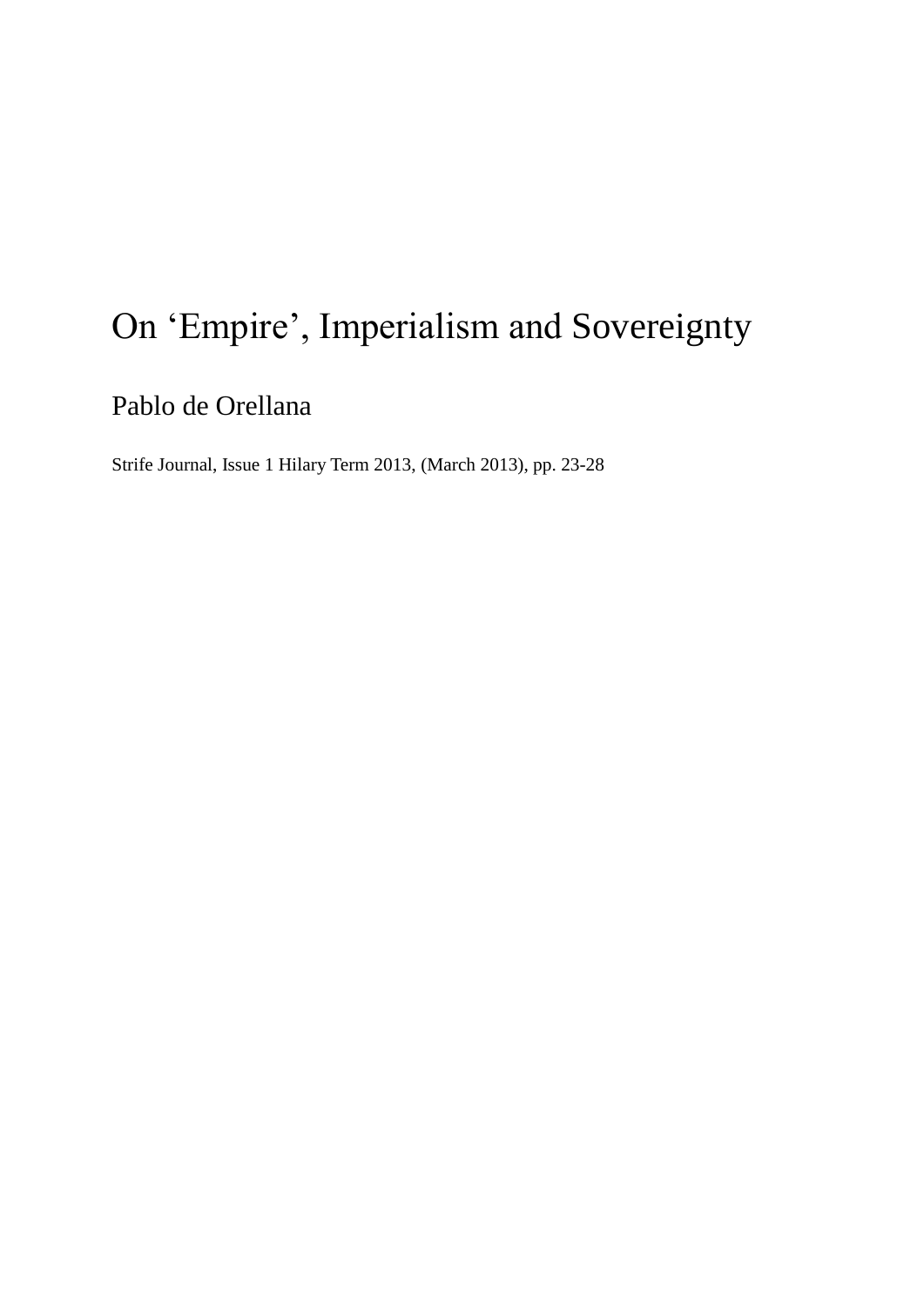# On 'Empire', Imperialism and Sovereignty

Pablo de Orellana

Strife Journal, Issue 1 Hilary Term 2013, (March 2013), pp. 23-28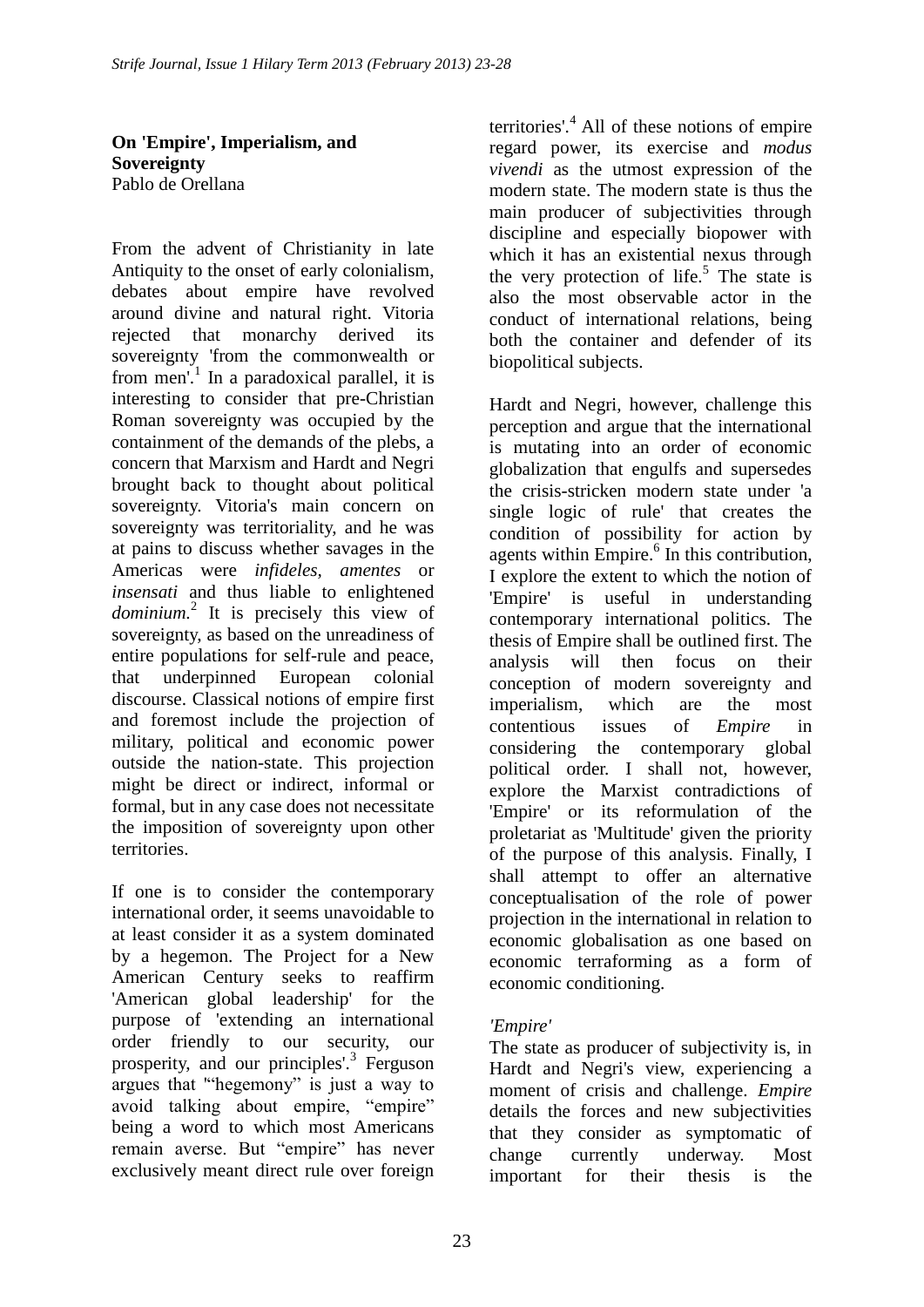**On 'Empire', Imperialism, and Sovereignty** Pablo de Orellana

From the advent of Christianity in late Antiquity to the onset of early colonialism, debates about empire have revolved around divine and natural right. Vitoria rejected that monarchy derived its sovereignty 'from the commonwealth or from men'.<sup>1</sup> In a paradoxical parallel, it is interesting to consider that pre-Christian Roman sovereignty was occupied by the containment of the demands of the plebs, a concern that Marxism and Hardt and Negri brought back to thought about political sovereignty. Vitoria's main concern on sovereignty was territoriality, and he was at pains to discuss whether savages in the Americas were *infideles, amentes* or *insensati* and thus liable to enlightened *dominium.*<sup>2</sup> It is precisely this view of sovereignty, as based on the unreadiness of entire populations for self-rule and peace, that underpinned European colonial discourse. Classical notions of empire first and foremost include the projection of military, political and economic power outside the nation-state. This projection might be direct or indirect, informal or formal, but in any case does not necessitate the imposition of sovereignty upon other territories.

If one is to consider the contemporary international order, it seems unavoidable to at least consider it as a system dominated by a hegemon. The Project for a New American Century seeks to reaffirm 'American global leadership' for the purpose of 'extending an international order friendly to our security, our prosperity, and our principles'.<sup>3</sup> Ferguson argues that '"hegemony" is just a way to avoid talking about empire, "empire" being a word to which most Americans remain averse. But "empire" has never exclusively meant direct rule over foreign

territories'. $4$  All of these notions of empire regard power, its exercise and *modus vivendi* as the utmost expression of the modern state. The modern state is thus the main producer of subjectivities through discipline and especially biopower with which it has an existential nexus through the very protection of life.<sup>5</sup> The state is also the most observable actor in the conduct of international relations, being both the container and defender of its biopolitical subjects.

Hardt and Negri, however, challenge this perception and argue that the international is mutating into an order of economic globalization that engulfs and supersedes the crisis-stricken modern state under 'a single logic of rule' that creates the condition of possibility for action by agents within Empire.<sup>6</sup> In this contribution, I explore the extent to which the notion of 'Empire' is useful in understanding contemporary international politics. The thesis of Empire shall be outlined first. The analysis will then focus on their conception of modern sovereignty and imperialism, which are the most contentious issues of *Empire* in considering the contemporary global political order. I shall not, however, explore the Marxist contradictions of 'Empire' or its reformulation of the proletariat as 'Multitude' given the priority of the purpose of this analysis. Finally, I shall attempt to offer an alternative conceptualisation of the role of power projection in the international in relation to economic globalisation as one based on economic terraforming as a form of economic conditioning.

### *'Empire'*

The state as producer of subjectivity is, in Hardt and Negri's view, experiencing a moment of crisis and challenge. *Empire* details the forces and new subjectivities that they consider as symptomatic of change currently underway. Most important for their thesis is the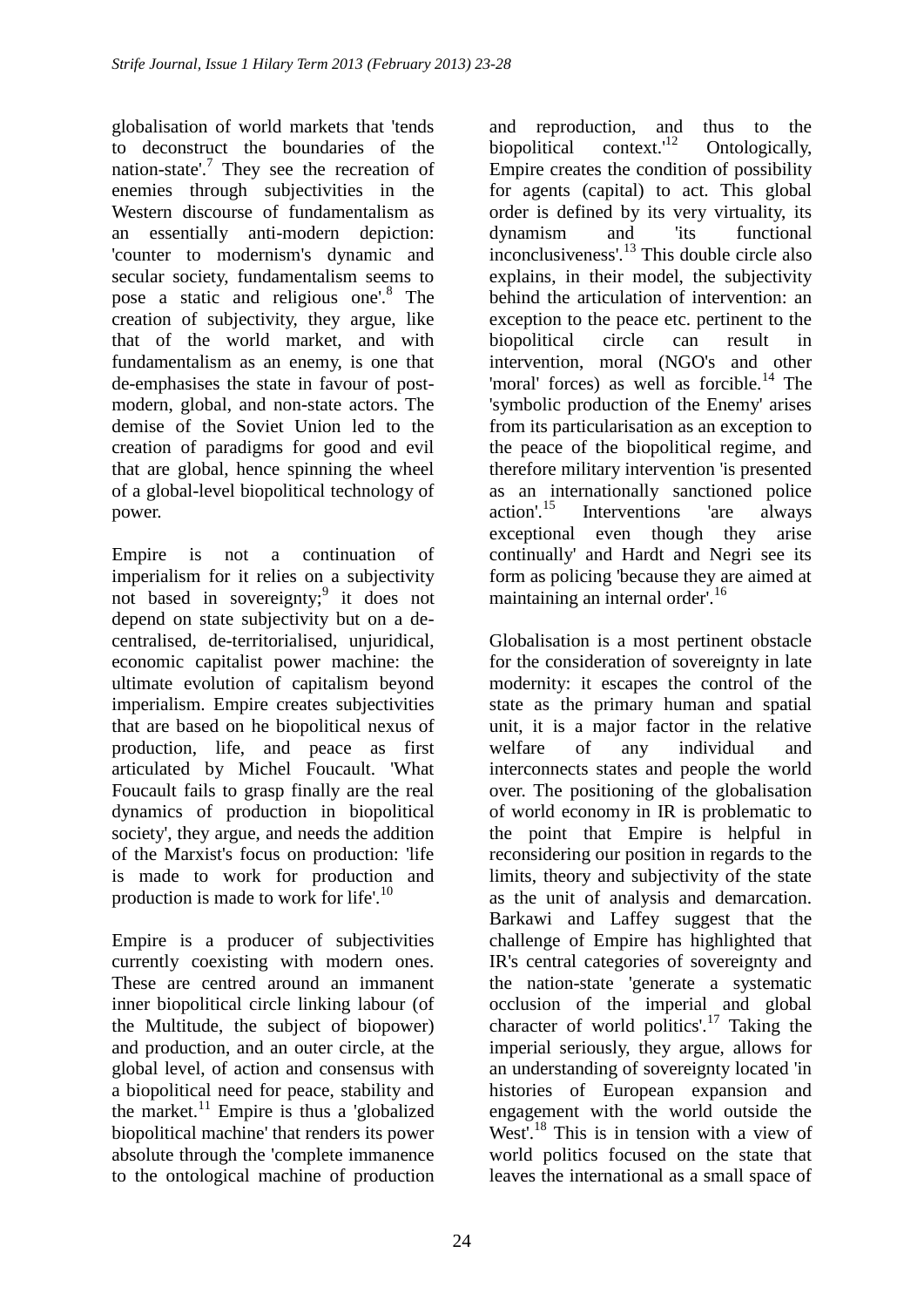globalisation of world markets that 'tends to deconstruct the boundaries of the nation-state'.<sup>7</sup> They see the recreation of enemies through subjectivities in the Western discourse of fundamentalism as an essentially anti-modern depiction: 'counter to modernism's dynamic and secular society, fundamentalism seems to pose a static and religious one'.<sup>8</sup> The creation of subjectivity, they argue, like that of the world market, and with fundamentalism as an enemy, is one that de-emphasises the state in favour of postmodern, global, and non-state actors. The demise of the Soviet Union led to the creation of paradigms for good and evil that are global, hence spinning the wheel of a global-level biopolitical technology of power.

Empire is not a continuation of imperialism for it relies on a subjectivity not based in sovereignty;<sup>9</sup> it does not depend on state subjectivity but on a decentralised, de-territorialised, unjuridical, economic capitalist power machine: the ultimate evolution of capitalism beyond imperialism. Empire creates subjectivities that are based on he biopolitical nexus of production, life, and peace as first articulated by Michel Foucault. 'What Foucault fails to grasp finally are the real dynamics of production in biopolitical society', they argue, and needs the addition of the Marxist's focus on production: 'life is made to work for production and production is made to work for life'.<sup>10</sup>

Empire is a producer of subjectivities currently coexisting with modern ones. These are centred around an immanent inner biopolitical circle linking labour (of the Multitude, the subject of biopower) and production, and an outer circle, at the global level, of action and consensus with a biopolitical need for peace, stability and the market. $^{11}$  Empire is thus a 'globalized biopolitical machine' that renders its power absolute through the 'complete immanence to the ontological machine of production

and reproduction, and thus to the biopolitical context.<sup>12</sup> Ontologically, biopolitical context. $12$  Ontologically, Empire creates the condition of possibility for agents (capital) to act. This global order is defined by its very virtuality, its dynamism and 'its functional inconclusiveness'.<sup>13</sup> This double circle also explains, in their model, the subjectivity behind the articulation of intervention: an exception to the peace etc. pertinent to the biopolitical circle can result in intervention, moral (NGO's and other 'moral' forces) as well as forcible. $^{14}$  The 'symbolic production of the Enemy' arises from its particularisation as an exception to the peace of the biopolitical regime, and therefore military intervention 'is presented as an internationally sanctioned police<br>action'.<sup>15</sup> Interventions 'are always Interventions 'are always exceptional even though they arise continually' and Hardt and Negri see its form as policing 'because they are aimed at maintaining an internal order'.<sup>16</sup>

Globalisation is a most pertinent obstacle for the consideration of sovereignty in late modernity: it escapes the control of the state as the primary human and spatial unit, it is a major factor in the relative welfare of any individual and interconnects states and people the world over. The positioning of the globalisation of world economy in IR is problematic to the point that Empire is helpful in reconsidering our position in regards to the limits, theory and subjectivity of the state as the unit of analysis and demarcation. Barkawi and Laffey suggest that the challenge of Empire has highlighted that IR's central categories of sovereignty and the nation-state 'generate a systematic occlusion of the imperial and global character of world politics'.<sup>17</sup> Taking the imperial seriously, they argue, allows for an understanding of sovereignty located 'in histories of European expansion and engagement with the world outside the West'.<sup>18</sup> This is in tension with a view of world politics focused on the state that leaves the international as a small space of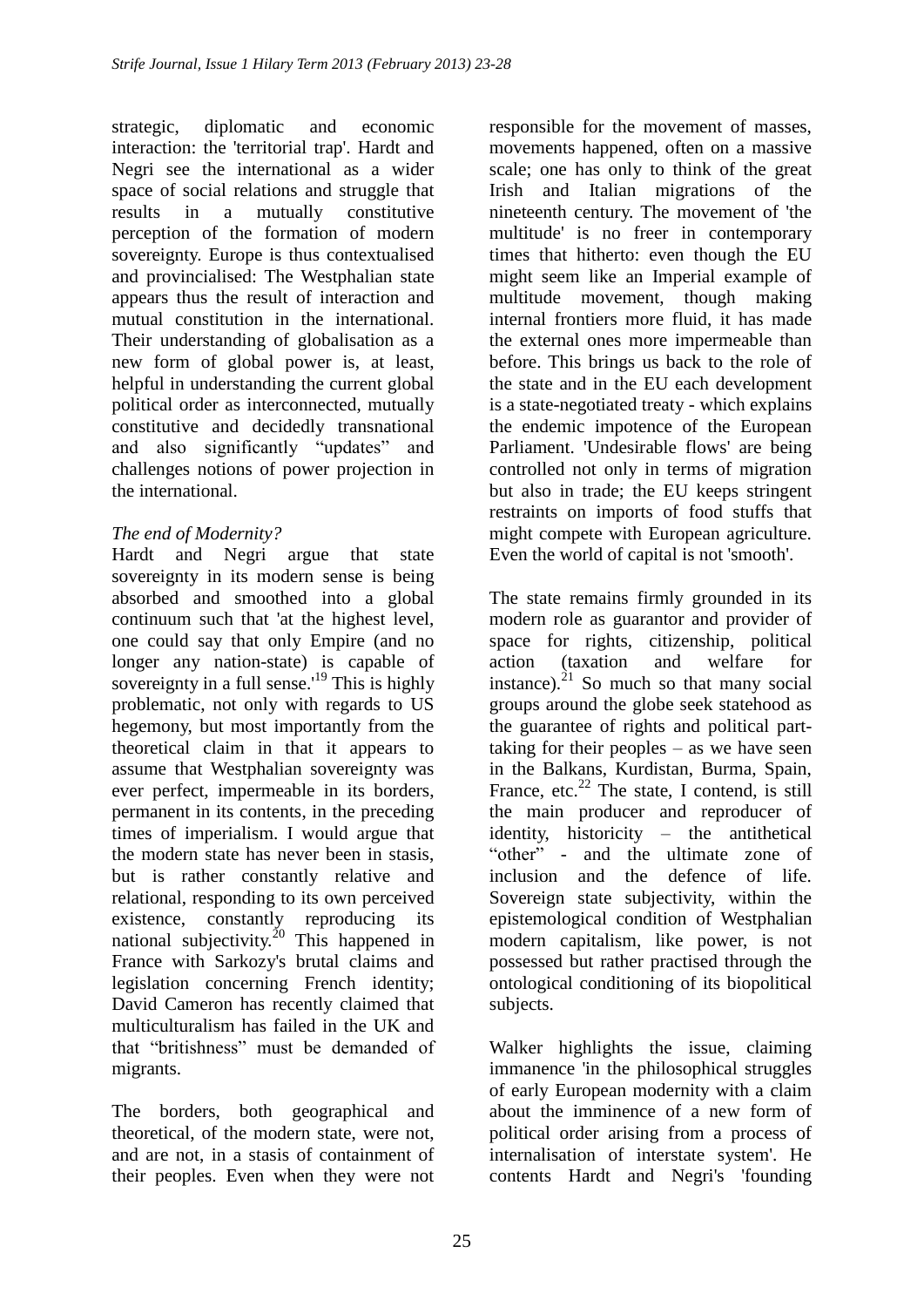strategic, diplomatic and economic interaction: the 'territorial trap'. Hardt and Negri see the international as a wider space of social relations and struggle that results in a mutually constitutive perception of the formation of modern sovereignty. Europe is thus contextualised and provincialised: The Westphalian state appears thus the result of interaction and mutual constitution in the international. Their understanding of globalisation as a new form of global power is, at least, helpful in understanding the current global political order as interconnected, mutually constitutive and decidedly transnational and also significantly "updates" and challenges notions of power projection in the international.

# *The end of Modernity?*

Hardt and Negri argue that state sovereignty in its modern sense is being absorbed and smoothed into a global continuum such that 'at the highest level, one could say that only Empire (and no longer any nation-state) is capable of sovereignty in a full sense.<sup>19</sup> This is highly problematic, not only with regards to US hegemony, but most importantly from the theoretical claim in that it appears to assume that Westphalian sovereignty was ever perfect, impermeable in its borders, permanent in its contents, in the preceding times of imperialism. I would argue that the modern state has never been in stasis, but is rather constantly relative and relational, responding to its own perceived existence, constantly reproducing its national subjectivity.<sup>20</sup> This happened in France with Sarkozy's brutal claims and legislation concerning French identity; David Cameron has recently claimed that multiculturalism has failed in the UK and that "britishness" must be demanded of migrants.

The borders, both geographical and theoretical, of the modern state, were not, and are not, in a stasis of containment of their peoples. Even when they were not responsible for the movement of masses, movements happened, often on a massive scale; one has only to think of the great Irish and Italian migrations of the nineteenth century. The movement of 'the multitude' is no freer in contemporary times that hitherto: even though the EU might seem like an Imperial example of multitude movement, though making internal frontiers more fluid, it has made the external ones more impermeable than before. This brings us back to the role of the state and in the EU each development is a state-negotiated treaty - which explains the endemic impotence of the European Parliament. 'Undesirable flows' are being controlled not only in terms of migration but also in trade; the EU keeps stringent restraints on imports of food stuffs that might compete with European agriculture. Even the world of capital is not 'smooth'.

The state remains firmly grounded in its modern role as guarantor and provider of space for rights, citizenship, political action (taxation and welfare for instance). $^{21}$  So much so that many social groups around the globe seek statehood as the guarantee of rights and political parttaking for their peoples – as we have seen in the Balkans, Kurdistan, Burma, Spain, France, etc.<sup>22</sup> The state, I contend, is still the main producer and reproducer of identity, historicity – the antithetical "other" - and the ultimate zone of inclusion and the defence of life. Sovereign state subjectivity, within the epistemological condition of Westphalian modern capitalism, like power, is not possessed but rather practised through the ontological conditioning of its biopolitical subjects.

Walker highlights the issue, claiming immanence 'in the philosophical struggles of early European modernity with a claim about the imminence of a new form of political order arising from a process of internalisation of interstate system'. He contents Hardt and Negri's 'founding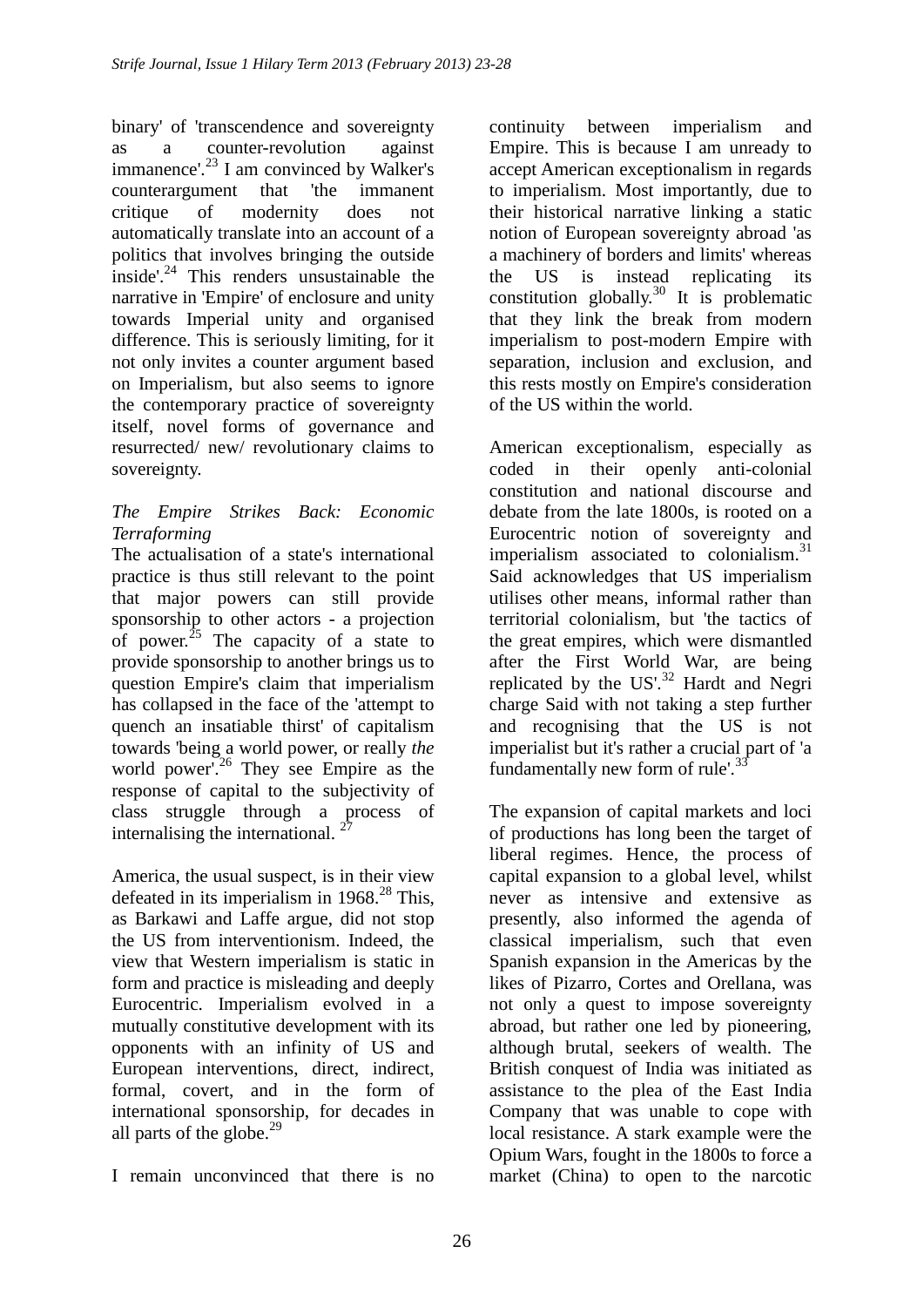binary' of 'transcendence and sovereignty as a counter-revolution against immanence'.<sup>23</sup> I am convinced by Walker's counterargument that 'the immanent critique of modernity does not automatically translate into an account of a politics that involves bringing the outside inside'. $24$  This renders unsustainable the narrative in 'Empire' of enclosure and unity towards Imperial unity and organised difference. This is seriously limiting, for it not only invites a counter argument based on Imperialism, but also seems to ignore the contemporary practice of sovereignty itself, novel forms of governance and resurrected/ new/ revolutionary claims to sovereignty.

## *The Empire Strikes Back: Economic Terraforming*

The actualisation of a state's international practice is thus still relevant to the point that major powers can still provide sponsorship to other actors - a projection of power.<sup>25</sup> The capacity of a state to provide sponsorship to another brings us to question Empire's claim that imperialism has collapsed in the face of the 'attempt to quench an insatiable thirst' of capitalism towards 'being a world power, or really *the*  world power'<sup>26</sup> They see Empire as the response of capital to the subjectivity of class struggle through a process of internalising the international.  $2^7$ 

America, the usual suspect, is in their view defeated in its imperialism in  $1968<sup>28</sup>$  This, as Barkawi and Laffe argue, did not stop the US from interventionism. Indeed, the view that Western imperialism is static in form and practice is misleading and deeply Eurocentric. Imperialism evolved in a mutually constitutive development with its opponents with an infinity of US and European interventions, direct, indirect, formal, covert, and in the form of international sponsorship, for decades in all parts of the globe. $^{29}$ 

continuity between imperialism and Empire. This is because I am unready to accept American exceptionalism in regards to imperialism. Most importantly, due to their historical narrative linking a static notion of European sovereignty abroad 'as a machinery of borders and limits' whereas the US is instead replicating its constitution globally.<sup>30</sup> It is problematic that they link the break from modern imperialism to post-modern Empire with separation, inclusion and exclusion, and this rests mostly on Empire's consideration of the US within the world.

American exceptionalism, especially as coded in their openly anti-colonial constitution and national discourse and debate from the late 1800s, is rooted on a Eurocentric notion of sovereignty and imperialism associated to colonialism. $31$ Said acknowledges that US imperialism utilises other means, informal rather than territorial colonialism, but 'the tactics of the great empires, which were dismantled after the First World War, are being replicated by the  $US^3$ <sup>2</sup> Hardt and Negri charge Said with not taking a step further and recognising that the US is not imperialist but it's rather a crucial part of 'a fundamentally new form of rule'.<sup>33</sup>

The expansion of capital markets and loci of productions has long been the target of liberal regimes. Hence, the process of capital expansion to a global level, whilst never as intensive and extensive as presently, also informed the agenda of classical imperialism, such that even Spanish expansion in the Americas by the likes of Pizarro, Cortes and Orellana, was not only a quest to impose sovereignty abroad, but rather one led by pioneering, although brutal, seekers of wealth. The British conquest of India was initiated as assistance to the plea of the East India Company that was unable to cope with local resistance. A stark example were the Opium Wars, fought in the 1800s to force a market (China) to open to the narcotic

I remain unconvinced that there is no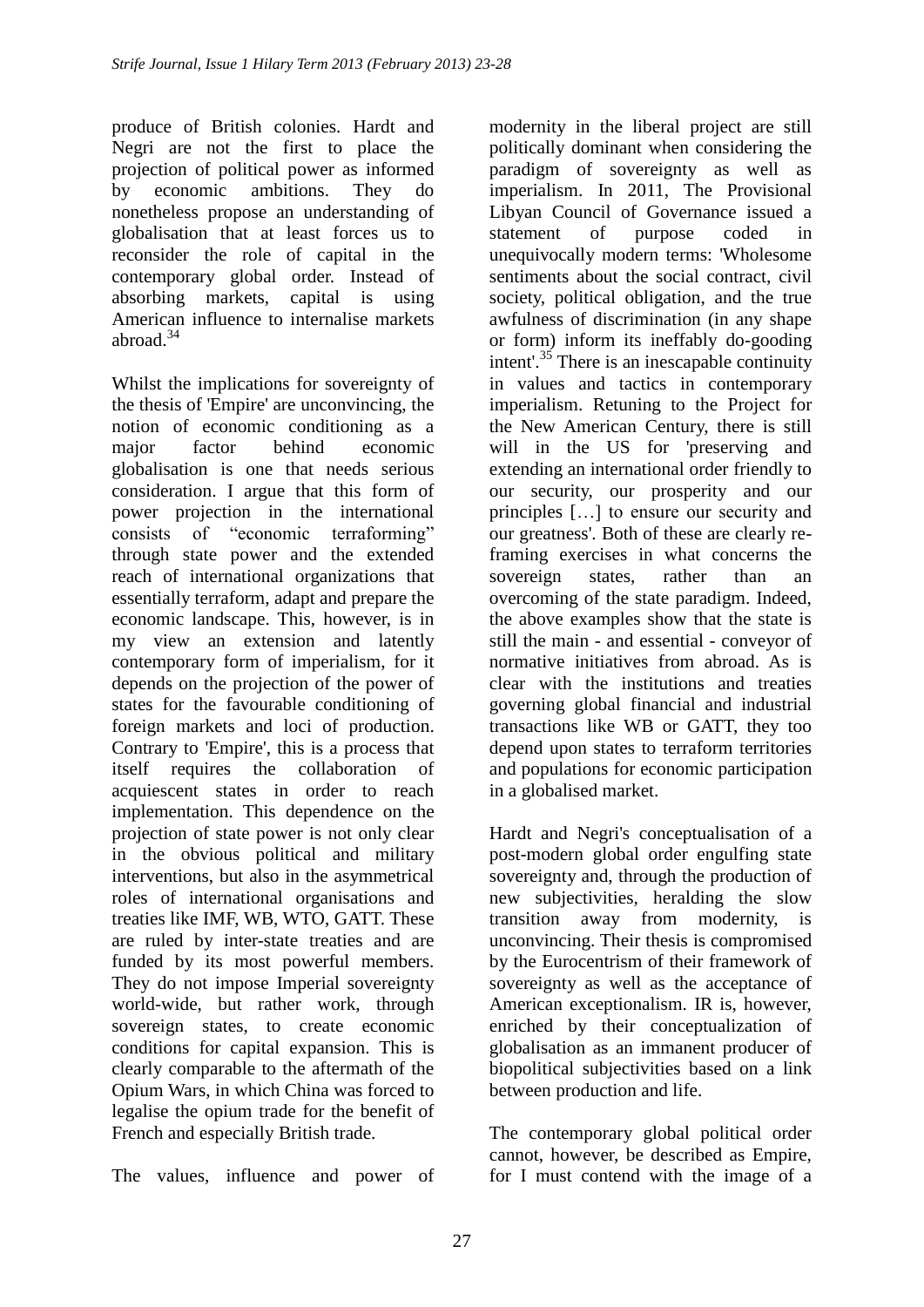produce of British colonies. Hardt and Negri are not the first to place the projection of political power as informed by economic ambitions. They do nonetheless propose an understanding of globalisation that at least forces us to reconsider the role of capital in the contemporary global order. Instead of absorbing markets, capital is using American influence to internalise markets abroad.<sup>34</sup>

Whilst the implications for sovereignty of the thesis of 'Empire' are unconvincing, the notion of economic conditioning as a major factor behind economic globalisation is one that needs serious consideration. I argue that this form of power projection in the international consists of "economic terraforming" through state power and the extended reach of international organizations that essentially terraform, adapt and prepare the economic landscape. This, however, is in my view an extension and latently contemporary form of imperialism, for it depends on the projection of the power of states for the favourable conditioning of foreign markets and loci of production. Contrary to 'Empire', this is a process that itself requires the collaboration of acquiescent states in order to reach implementation. This dependence on the projection of state power is not only clear in the obvious political and military interventions, but also in the asymmetrical roles of international organisations and treaties like IMF, WB, WTO, GATT. These are ruled by inter-state treaties and are funded by its most powerful members. They do not impose Imperial sovereignty world-wide, but rather work, through sovereign states, to create economic conditions for capital expansion. This is clearly comparable to the aftermath of the Opium Wars, in which China was forced to legalise the opium trade for the benefit of French and especially British trade.

The values, influence and power of

modernity in the liberal project are still politically dominant when considering the paradigm of sovereignty as well as imperialism. In 2011, The Provisional Libyan Council of Governance issued a statement of purpose coded in unequivocally modern terms: 'Wholesome sentiments about the social contract, civil society, political obligation, and the true awfulness of discrimination (in any shape or form) inform its ineffably do-gooding intent'.<sup>35</sup> There is an inescapable continuity in values and tactics in contemporary imperialism. Retuning to the Project for the New American Century, there is still will in the US for 'preserving and extending an international order friendly to our security, our prosperity and our principles […] to ensure our security and our greatness'. Both of these are clearly reframing exercises in what concerns the sovereign states, rather than an overcoming of the state paradigm. Indeed, the above examples show that the state is still the main - and essential - conveyor of normative initiatives from abroad. As is clear with the institutions and treaties governing global financial and industrial transactions like WB or GATT, they too depend upon states to terraform territories and populations for economic participation in a globalised market.

Hardt and Negri's conceptualisation of a post-modern global order engulfing state sovereignty and, through the production of new subjectivities, heralding the slow transition away from modernity, is unconvincing. Their thesis is compromised by the Eurocentrism of their framework of sovereignty as well as the acceptance of American exceptionalism. IR is, however, enriched by their conceptualization of globalisation as an immanent producer of biopolitical subjectivities based on a link between production and life.

The contemporary global political order cannot, however, be described as Empire, for I must contend with the image of a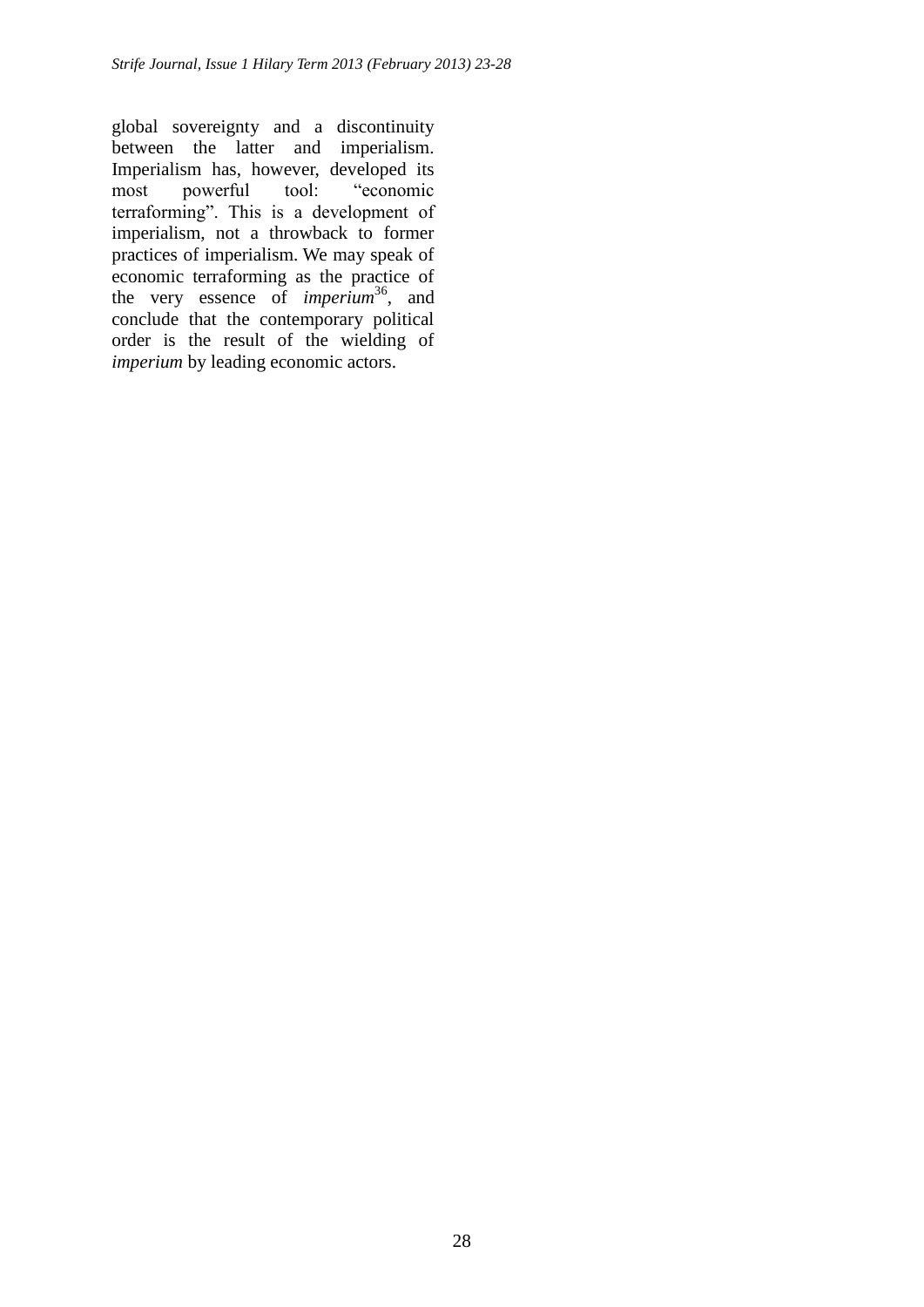global sovereignty and a discontinuity between the latter and imperialism. Imperialism has, however, developed its most powerful tool: "economic terraforming". This is a development of imperialism, not a throwback to former practices of imperialism. We may speak of economic terraforming as the practice of the very essence of *imperium*<sup>36</sup>, and conclude that the contemporary political order is the result of the wielding of *imperium* by leading economic actors.